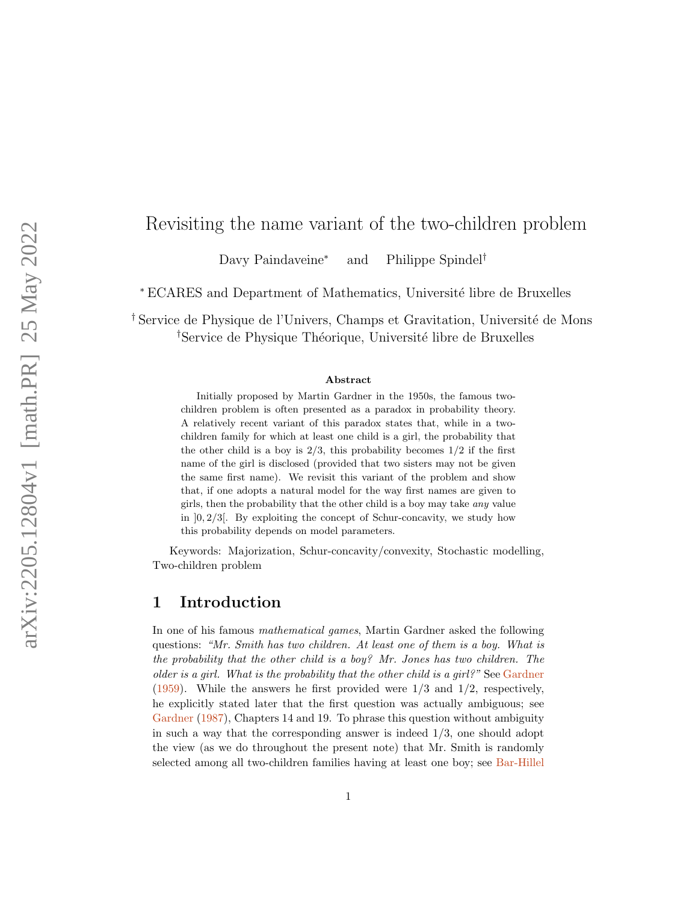# Revisiting the name variant of the two-children problem

Davy Paindaveine<sup>∗</sup> and Philippe Spindel†

<sup>∗</sup> ECARES and Department of Mathematics, Universit´e libre de Bruxelles

<sup>†</sup> Service de Physique de l'Univers, Champs et Gravitation, Université de Mons <sup>†</sup>Service de Physique Théorique, Université libre de Bruxelles

#### Abstract

Initially proposed by Martin Gardner in the 1950s, the famous twochildren problem is often presented as a paradox in probability theory. A relatively recent variant of this paradox states that, while in a twochildren family for which at least one child is a girl, the probability that the other child is a boy is  $2/3$ , this probability becomes  $1/2$  if the first name of the girl is disclosed (provided that two sisters may not be given the same first name). We revisit this variant of the problem and show that, if one adopts a natural model for the way first names are given to girls, then the probability that the other child is a boy may take any value in  $]0, 2/3[$ . By exploiting the concept of Schur-concavity, we study how this probability depends on model parameters.

Keywords: Majorization, Schur-concavity/convexity, Stochastic modelling, Two-children problem

### 1 Introduction

In one of his famous mathematical games, Martin Gardner asked the following questions: "Mr. Smith has two children. At least one of them is a boy. What is the probability that the other child is a boy? Mr. Jones has two children. The older is a girl. What is the probability that the other child is a girl?" See [Gardner](#page-11-0)  $(1959)$ . While the answers he first provided were  $1/3$  and  $1/2$ , respectively, he explicitly stated later that the first question was actually ambiguous; see [Gardner](#page-11-1) [\(1987\)](#page-11-1), Chapters 14 and 19. To phrase this question without ambiguity in such a way that the corresponding answer is indeed  $1/3$ , one should adopt the view (as we do throughout the present note) that Mr. Smith is randomly selected among all two-children families having at least one boy; see [Bar-Hillel](#page-10-0)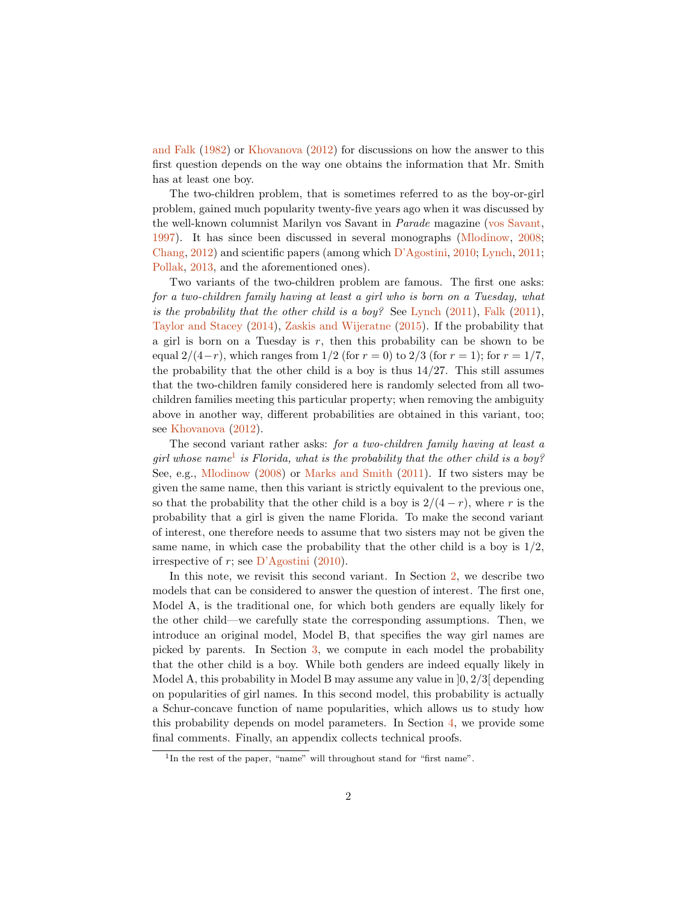[and Falk](#page-10-0) [\(1982\)](#page-10-0) or [Khovanova](#page-11-2) [\(2012\)](#page-11-2) for discussions on how the answer to this first question depends on the way one obtains the information that Mr. Smith has at least one boy.

The two-children problem, that is sometimes referred to as the boy-or-girl problem, gained much popularity twenty-five years ago when it was discussed by the well-known columnist Marilyn vos Savant in Parade magazine [\(vos Savant,](#page-11-3) [1997\)](#page-11-3). It has since been discussed in several monographs [\(Mlodinow,](#page-11-4) [2008;](#page-11-4) [Chang,](#page-10-1) [2012\)](#page-10-1) and scientific papers (among which [D'Agostini,](#page-10-2) [2010;](#page-10-2) [Lynch,](#page-11-5) [2011;](#page-11-5) [Pollak,](#page-11-6) [2013,](#page-11-6) and the aforementioned ones).

Two variants of the two-children problem are famous. The first one asks: for a two-children family having at least a girl who is born on a Tuesday, what is the probability that the other child is a boy? See [Lynch](#page-11-5)  $(2011)$ , [Falk](#page-10-3)  $(2011)$ , [Taylor and Stacey](#page-11-7) [\(2014\)](#page-11-7), [Zaskis and Wijeratne](#page-11-8) [\(2015\)](#page-11-8). If the probability that a girl is born on a Tuesday is  $r$ , then this probability can be shown to be equal  $2/(4-r)$ , which ranges from  $1/2$  (for  $r = 0$ ) to  $2/3$  (for  $r = 1$ ); for  $r = 1/7$ , the probability that the other child is a boy is thus  $14/27$ . This still assumes that the two-children family considered here is randomly selected from all twochildren families meeting this particular property; when removing the ambiguity above in another way, different probabilities are obtained in this variant, too; see [Khovanova](#page-11-2) [\(2012\)](#page-11-2).

The second variant rather asks: for a two-children family having at least a girl whose name<sup>[1](#page-1-0)</sup> is Florida, what is the probability that the other child is a boy? See, e.g., [Mlodinow](#page-11-4) [\(2008\)](#page-11-4) or [Marks and Smith](#page-11-9) [\(2011\)](#page-11-9). If two sisters may be given the same name, then this variant is strictly equivalent to the previous one, so that the probability that the other child is a boy is  $2/(4-r)$ , where r is the probability that a girl is given the name Florida. To make the second variant of interest, one therefore needs to assume that two sisters may not be given the same name, in which case the probability that the other child is a boy is  $1/2$ , irrespective of  $r$ ; see [D'Agostini](#page-10-2) [\(2010\)](#page-10-2).

In this note, we revisit this second variant. In Section [2,](#page-2-0) we describe two models that can be considered to answer the question of interest. The first one, Model A, is the traditional one, for which both genders are equally likely for the other child—we carefully state the corresponding assumptions. Then, we introduce an original model, Model B, that specifies the way girl names are picked by parents. In Section [3,](#page-4-0) we compute in each model the probability that the other child is a boy. While both genders are indeed equally likely in Model A, this probability in Model B may assume any value in  $[0, 2/3]$  depending on popularities of girl names. In this second model, this probability is actually a Schur-concave function of name popularities, which allows us to study how this probability depends on model parameters. In Section [4,](#page-7-0) we provide some final comments. Finally, an appendix collects technical proofs.

<span id="page-1-0"></span><sup>&</sup>lt;sup>1</sup>In the rest of the paper, "name" will throughout stand for "first name".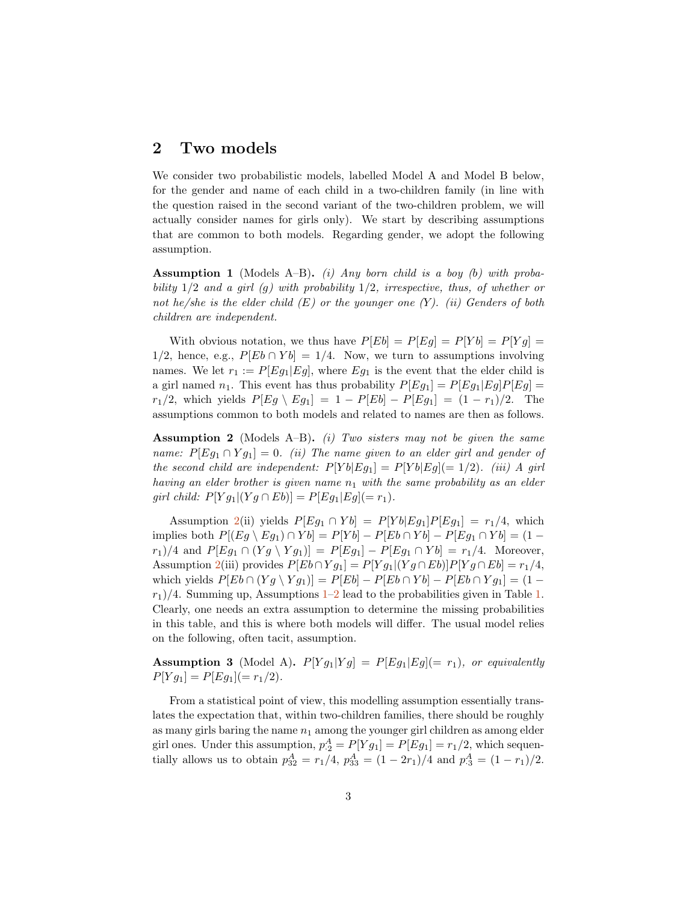# <span id="page-2-0"></span>2 Two models

We consider two probabilistic models, labelled Model A and Model B below, for the gender and name of each child in a two-children family (in line with the question raised in the second variant of the two-children problem, we will actually consider names for girls only). We start by describing assumptions that are common to both models. Regarding gender, we adopt the following assumption.

<span id="page-2-2"></span>**Assumption 1** (Models A–B). (i) Any born child is a boy (b) with probability  $1/2$  and a girl (g) with probability  $1/2$ , irrespective, thus, of whether or not he/she is the elder child  $(E)$  or the younger one  $(Y)$ . (ii) Genders of both children are independent.

With obvious notation, we thus have  $P[Eb] = P[Eg] = P[Yb] = P[Yg] =$ 1/2, hence, e.g.,  $P[Eb \cap Yb] = 1/4$ . Now, we turn to assumptions involving names. We let  $r_1 := P[Eg_1|Eg]$ , where  $Eg_1$  is the event that the elder child is a girl named  $n_1$ . This event has thus probability  $P[Eg_1] = P[Eg_1|Eg]P[Eg]$  $r_1/2$ , which yields  $P[Eg \setminus Eg_1] = 1 - P[Eb] - P[Eg_1] = (1 - r_1)/2$ . The assumptions common to both models and related to names are then as follows.

<span id="page-2-1"></span>**Assumption 2** (Models A–B). (i) Two sisters may not be given the same name:  $P[Eg_1 \cap Yg_1] = 0$ . (ii) The name given to an elder girl and gender of the second child are independent:  $P[Yb|Eg_1] = P[Yb|Eg] (= 1/2)$ . (iii) A girl having an elder brother is given name  $n_1$  with the same probability as an elder girl child:  $P[Y g_1 | (Y g \cap Eb)]=P[E g_1 | Eg] (=r_1).$ 

Assumption [2\(](#page-2-1)ii) yields  $P[Eg_1 \cap Yb] = P[Yb|Eg_1]P[Eg_1] = r_1/4$ , which implies both  $P[(Eg \ Bg_1) \cap Yb] = P[Yb] - P[Eb \cap Yb] - P[Eg_1 \cap Yb] = (1$  $r_1/4$  and  $P[Eg_1 \cap (Yg \setminus Yg_1)] = P[Eg_1] - P[Eg_1 \cap Yb] = r_1/4$ . Moreover, Assumption [2\(](#page-2-1)iii) provides  $P[Eb \cap Yg_1] = P[Yg_1 | (Yg \cap Eb)]P[Yg \cap Eb] = r_1/4$ , which yields  $P[Eb \cap (Yg \setminus Yg_1)] = P[Eb] - P[Eb \cap Yb] - P[Eb \cap Yg_1] = (1$  $r_1$ /4. Summing up, Assumptions [1–](#page-2-2)[2](#page-2-1) lead to the probabilities given in Table [1.](#page-3-0) Clearly, one needs an extra assumption to determine the missing probabilities in this table, and this is where both models will differ. The usual model relies on the following, often tacit, assumption.

**Assumption 3** (Model A).  $P[Y g_1 | Y g] = P[E g_1 | E g] (= r_1)$ , or equivalently  $P[Y g_1] = P[E g_1] (= r_1/2).$ 

From a statistical point of view, this modelling assumption essentially translates the expectation that, within two-children families, there should be roughly as many girls baring the name  $n_1$  among the younger girl children as among elder girl ones. Under this assumption,  $p_2^A = P[Y g_1] = P[E g_1] = r_1/2$ , which sequentially allows us to obtain  $p_{32}^A = r_1/4$ ,  $p_{33}^A = (1 - 2r_1)/4$  and  $p_{\cdot3}^A = (1 - r_1)/2$ .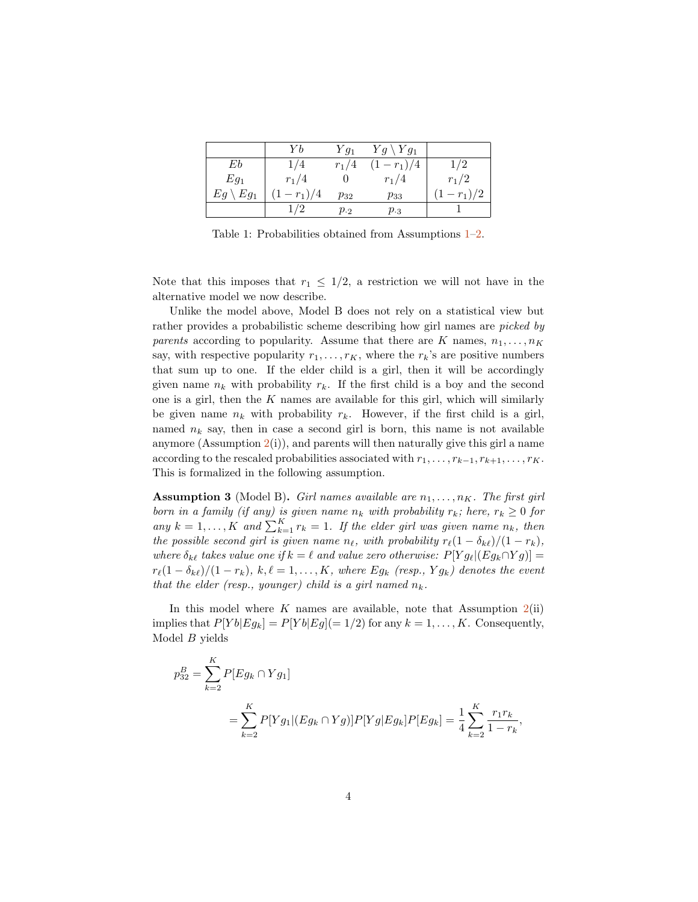|                     | Υh            | $Yg_1$        | $Yg \setminus Yg_1$ |             |
|---------------------|---------------|---------------|---------------------|-------------|
| Eb                  | 1/4           | $r_1/4$       | $(1 - r_1)/4$       | 1/2         |
| $Eg_1$              | $r_1/4$       |               | $r_1/4$             | $r_1/2$     |
| $Eg \setminus Eg_1$ | $(1 - r_1)/4$ | $p_{32}$      | $p_{33}$            | $(1-r_1)/2$ |
|                     |               | $p_{\cdot 2}$ | $p_{.3}$            |             |

<span id="page-3-0"></span>Table 1: Probabilities obtained from Assumptions [1–](#page-2-2)[2.](#page-2-1)

Note that this imposes that  $r_1 \leq 1/2$ , a restriction we will not have in the alternative model we now describe.

Unlike the model above, Model B does not rely on a statistical view but rather provides a probabilistic scheme describing how girl names are picked by parents according to popularity. Assume that there are K names,  $n_1, \ldots, n_K$ say, with respective popularity  $r_1, \ldots, r_K$ , where the  $r_k$ 's are positive numbers that sum up to one. If the elder child is a girl, then it will be accordingly given name  $n_k$  with probability  $r_k$ . If the first child is a boy and the second one is a girl, then the  $K$  names are available for this girl, which will similarly be given name  $n_k$  with probability  $r_k$ . However, if the first child is a girl, named  $n_k$  say, then in case a second girl is born, this name is not available anymore (Assumption  $2(i)$  $2(i)$ ), and parents will then naturally give this girl a name according to the rescaled probabilities associated with  $r_1, \ldots, r_{k-1}, r_{k+1}, \ldots, r_K$ . This is formalized in the following assumption.

**Assumption 3** (Model B). Girl names available are  $n_1, \ldots, n_K$ . The first girl born in a family (if any) is given name  $n_k$  with probability  $r_k$ ; here,  $r_k \geq 0$  for any  $k = 1, ..., K$  and  $\sum_{k=1}^{K} r_k = 1$ . If the elder girl was given name  $n_k$ , then the possible second girl is given name  $n_{\ell}$ , with probability  $r_{\ell}(1 - \delta_{k\ell})/(1 - r_k)$ , where  $\delta_{k\ell}$  takes value one if  $k = \ell$  and value zero otherwise:  $P[Y g_\ell | (E g_k \cap Y g)] =$  $r_{\ell}(1 - \delta_{k\ell})/(1 - r_k), k, \ell = 1, ..., K$ , where Eg<sub>k</sub> (resp., Y g<sub>k</sub>) denotes the event that the elder (resp., younger) child is a girl named  $n_k$ .

In this model where K names are available, note that Assumption  $2(ii)$  $2(ii)$ implies that  $P[Yb|Eg_k] = P[Yb|Eg] (= 1/2)$  for any  $k = 1, ..., K$ . Consequently, Model B yields

 $\mathbf{r}$ 

$$
p_{32}^{B} = \sum_{k=2}^{K} P[Eg_k \cap Yg_1]
$$
  
= 
$$
\sum_{k=2}^{K} P[Yg_1 | (Eg_k \cap Yg)] P[Yg|Eg_k] P[Eg_k] = \frac{1}{4} \sum_{k=2}^{K} \frac{r_1 r_k}{1 - r_k},
$$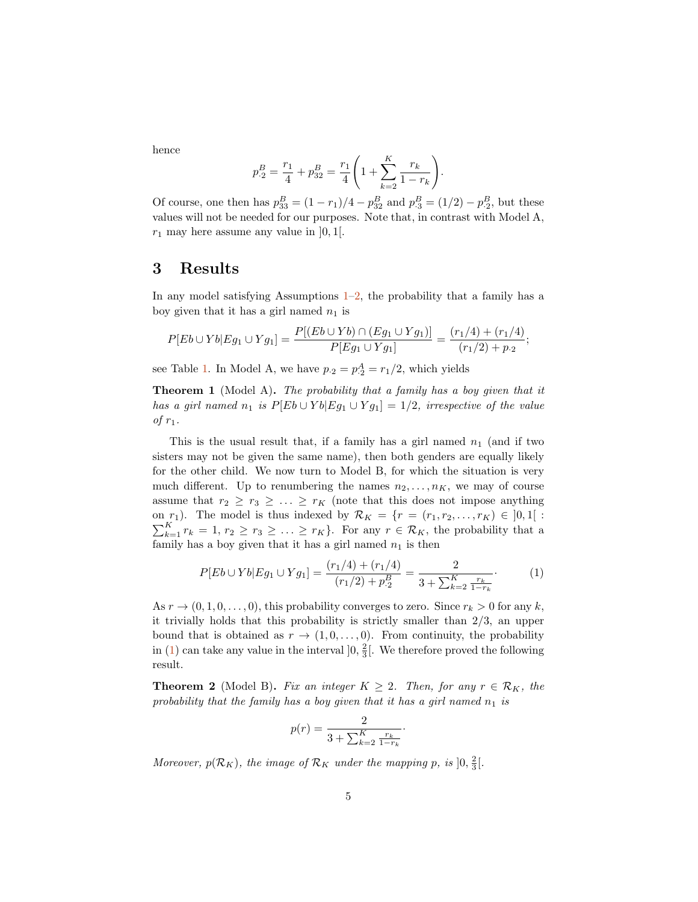hence

$$
p_2^B = \frac{r_1}{4} + p_{32}^B = \frac{r_1}{4} \left( 1 + \sum_{k=2}^K \frac{r_k}{1 - r_k} \right).
$$

Of course, one then has  $p_{33}^B = (1 - r_1)/4 - p_{32}^B$  and  $p_{\cdot3}^B = (1/2) - p_{\cdot2}^B$ , but these values will not be needed for our purposes. Note that, in contrast with Model A,  $r_1$  may here assume any value in  $]0,1[$ .

## <span id="page-4-0"></span>3 Results

In any model satisfying Assumptions  $1-2$ , the probability that a family has a boy given that it has a girl named  $n_1$  is

$$
P[Eb \cup Yb | Eg_1 \cup Yg_1] = \frac{P[(Eb \cup Yb) \cap (Eg_1 \cup Yg_1)]}{P[Eg_1 \cup Yg_1]} = \frac{(r_1/4) + (r_1/4)}{(r_1/2) + p_2};
$$

see Table [1.](#page-3-0) In Model A, we have  $p_{\cdot 2} = p_{\cdot 2}^A = r_1/2$ , which yields

**Theorem 1** (Model A). The probability that a family has a boy given that it has a girl named  $n_1$  is  $P[Eb \cup Yb | Eg_1 \cup Yg_1] = 1/2$ , irrespective of the value of  $r_1$ .

This is the usual result that, if a family has a girl named  $n_1$  (and if two sisters may not be given the same name), then both genders are equally likely for the other child. We now turn to Model B, for which the situation is very much different. Up to renumbering the names  $n_2, \ldots, n_K$ , we may of course assume that  $r_2 \geq r_3 \geq \ldots \geq r_K$  (note that this does not impose anything on  $r_1$ ). The model is thus indexed by  $\mathcal{R}_K = \{r = (r_1, r_2, \ldots, r_K) \in ]0,1[$ :  $\sum_{k=1}^{K} r_k = 1, r_2 \ge r_3 \ge \ldots \ge r_K$ . For any  $r \in \mathcal{R}_K$ , the probability that a family has a boy given that it has a girl named  $n_1$  is then

<span id="page-4-1"></span>
$$
P[Eb \cup Yb | Eg_1 \cup Yg_1] = \frac{(r_1/4) + (r_1/4)}{(r_1/2) + p_2^B} = \frac{2}{3 + \sum_{k=2}^K \frac{r_k}{1 - r_k}}.
$$
 (1)

As  $r \to (0, 1, 0, \ldots, 0)$ , this probability converges to zero. Since  $r_k > 0$  for any k, it trivially holds that this probability is strictly smaller than 2/3, an upper bound that is obtained as  $r \to (1, 0, \ldots, 0)$ . From continuity, the probability in [\(1\)](#page-4-1) can take any value in the interval  $]0, \frac{2}{3} [$ . We therefore proved the following result.

<span id="page-4-2"></span>**Theorem 2** (Model B). Fix an integer  $K \geq 2$ . Then, for any  $r \in \mathcal{R}_K$ , the probability that the family has a boy given that it has a girl named  $n_1$  is

$$
p(r) = \frac{2}{3 + \sum_{k=2}^{K} \frac{r_k}{1 - r_k}}.
$$

Moreover,  $p(\mathcal{R}_K)$ , the image of  $\mathcal{R}_K$  under the mapping p, is  $]0, \frac{2}{3}$ .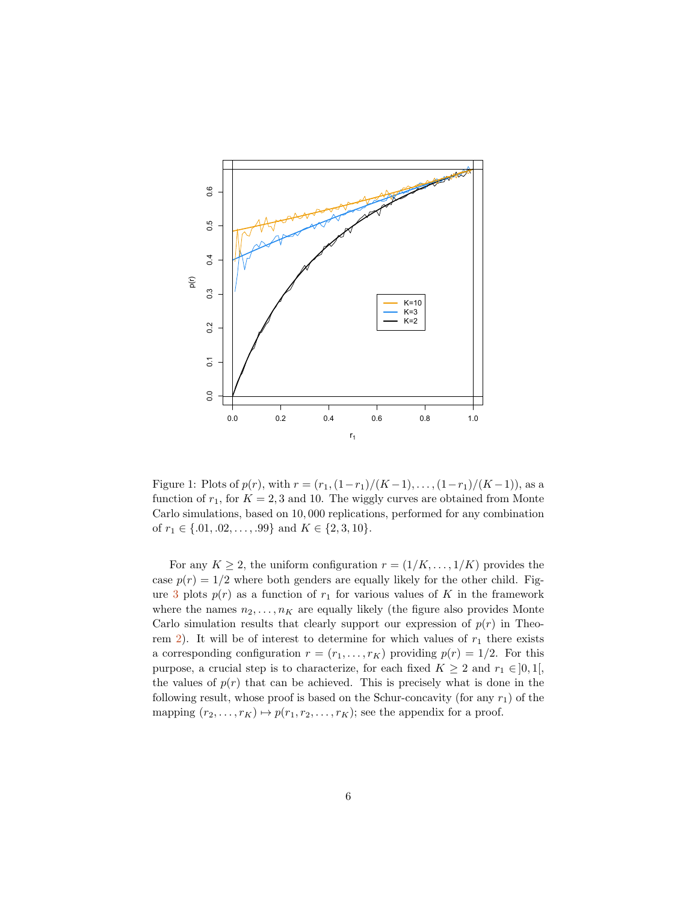

Figure 1: Plots of  $p(r)$ , with  $r = (r_1,(1-r_1)/(K-1),\ldots,(1-r_1)/(K-1))$ , as a function of  $r_1$ , for  $K = 2, 3$  and 10. The wiggly curves are obtained from Monte Carlo simulations, based on 10, 000 replications, performed for any combination of  $r_1 \in \{.01, .02, \ldots, .99\}$  and  $K \in \{2, 3, 10\}.$ 

For any  $K \geq 2$ , the uniform configuration  $r = (1/K, \ldots, 1/K)$  provides the case  $p(r) = 1/2$  where both genders are equally likely for the other child. Fig-ure [3](#page-4-2) plots  $p(r)$  as a function of  $r_1$  for various values of K in the framework where the names  $n_2, \ldots, n_K$  are equally likely (the figure also provides Monte Carlo simulation results that clearly support our expression of  $p(r)$  in Theo-rem [2\)](#page-4-2). It will be of interest to determine for which values of  $r_1$  there exists a corresponding configuration  $r = (r_1, \ldots, r_K)$  providing  $p(r) = 1/2$ . For this purpose, a crucial step is to characterize, for each fixed  $K \geq 2$  and  $r_1 \in ]0,1[$ , the values of  $p(r)$  that can be achieved. This is precisely what is done in the following result, whose proof is based on the Schur-concavity (for any  $r_1$ ) of the mapping  $(r_2, \ldots, r_K) \mapsto p(r_1, r_2, \ldots, r_K)$ ; see the appendix for a proof.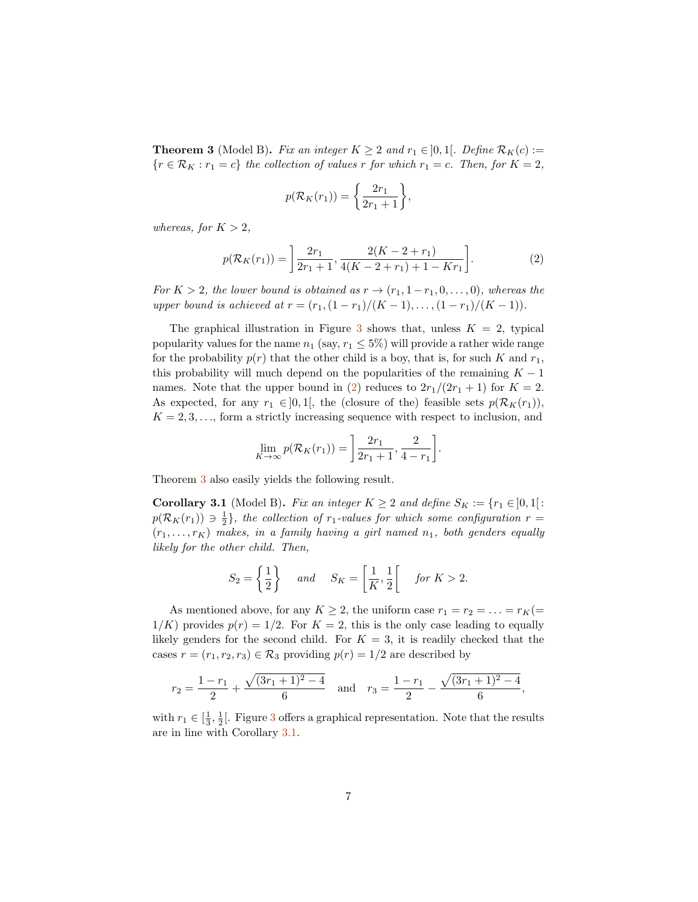<span id="page-6-1"></span>**Theorem 3** (Model B). Fix an integer  $K \geq 2$  and  $r_1 \in ]0,1[$ . Define  $\mathcal{R}_K(c) :=$  ${r \in \mathcal{R}_K : r_1 = c}$  the collection of values r for which  $r_1 = c$ . Then, for  $K = 2$ ,

$$
p(\mathcal{R}_K(r_1)) = \left\{\frac{2r_1}{2r_1+1}\right\},\
$$

whereas, for  $K > 2$ ,

<span id="page-6-0"></span>
$$
p(\mathcal{R}_K(r_1)) = \left[ \frac{2r_1}{2r_1 + 1}, \frac{2(K - 2 + r_1)}{4(K - 2 + r_1) + 1 - Kr_1} \right].
$$
 (2)

For  $K > 2$ , the lower bound is obtained as  $r \rightarrow (r_1, 1 - r_1, 0, \ldots, 0)$ , whereas the upper bound is achieved at  $r = (r_1,(1-r_1)/(K-1),\ldots,(1-r_1)/(K-1)).$ 

The graphical illustration in Figure [3](#page-4-2) shows that, unless  $K = 2$ , typical popularity values for the name  $n_1$  (say,  $r_1 \leq 5\%$ ) will provide a rather wide range for the probability  $p(r)$  that the other child is a boy, that is, for such K and  $r_1$ , this probability will much depend on the popularities of the remaining  $K - 1$ names. Note that the upper bound in [\(2\)](#page-6-0) reduces to  $2r_1/(2r_1+1)$  for  $K=2$ . As expected, for any  $r_1 \in ]0,1[$ , the (closure of the) feasible sets  $p(\mathcal{R}_K(r_1)),$  $K = 2, 3, \ldots$ , form a strictly increasing sequence with respect to inclusion, and

$$
\lim_{K \to \infty} p(\mathcal{R}_K(r_1)) = \left[ \frac{2r_1}{2r_1 + 1}, \frac{2}{4 - r_1} \right].
$$

Theorem [3](#page-6-1) also easily yields the following result.

<span id="page-6-2"></span>**Corollary 3.1** (Model B). Fix an integer  $K \geq 2$  and define  $S_K := \{r_1 \in ]0,1[$ :  $p(R_K(r_1)) \ni \frac{1}{2}$ , the collection of  $r_1$ -values for which some configuration  $r =$  $(r_1, \ldots, r_K)$  makes, in a family having a girl named  $n_1$ , both genders equally likely for the other child. Then,

$$
S_2 = \left\{ \frac{1}{2} \right\} \quad \text{and} \quad S_K = \left[ \frac{1}{K}, \frac{1}{2} \right[ \quad \text{for } K > 2.
$$

As mentioned above, for any  $K \geq 2$ , the uniform case  $r_1 = r_2 = \ldots = r_K (=$  $1/K$ ) provides  $p(r) = 1/2$ . For  $K = 2$ , this is the only case leading to equally likely genders for the second child. For  $K = 3$ , it is readily checked that the cases  $r = (r_1, r_2, r_3) \in \mathcal{R}_3$  providing  $p(r) = 1/2$  are described by

$$
r_2 = \frac{1 - r_1}{2} + \frac{\sqrt{(3r_1 + 1)^2 - 4}}{6}
$$
 and  $r_3 = \frac{1 - r_1}{2} - \frac{\sqrt{(3r_1 + 1)^2 - 4}}{6}$ ,

with  $r_1 \in \left[\frac{1}{3}, \frac{1}{2}\right]$  $r_1 \in \left[\frac{1}{3}, \frac{1}{2}\right]$  $r_1 \in \left[\frac{1}{3}, \frac{1}{2}\right]$ . Figure 3 offers a graphical representation. Note that the results are in line with Corollary [3.1.](#page-6-2)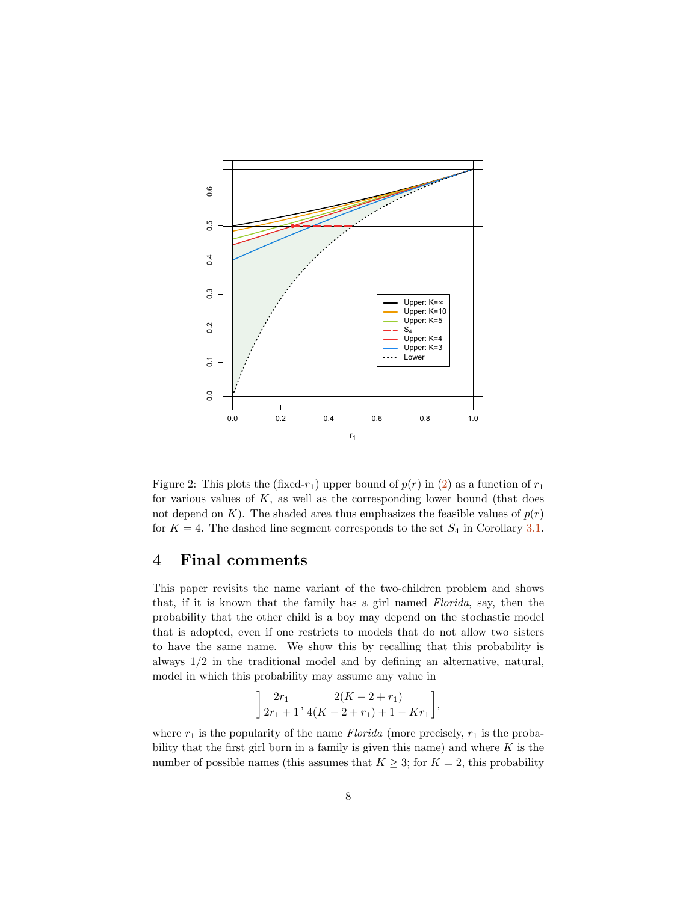

<span id="page-7-1"></span>Figure 2: This plots the (fixed- $r_1$ ) upper bound of  $p(r)$  in [\(2\)](#page-6-0) as a function of  $r_1$ for various values of  $K$ , as well as the corresponding lower bound (that does not depend on K). The shaded area thus emphasizes the feasible values of  $p(r)$ for  $K = 4$ . The dashed line segment corresponds to the set  $S_4$  in Corollary [3.1.](#page-6-2)

### <span id="page-7-0"></span>4 Final comments

This paper revisits the name variant of the two-children problem and shows that, if it is known that the family has a girl named Florida, say, then the probability that the other child is a boy may depend on the stochastic model that is adopted, even if one restricts to models that do not allow two sisters to have the same name. We show this by recalling that this probability is always 1/2 in the traditional model and by defining an alternative, natural, model in which this probability may assume any value in

$$
\left[\frac{2r_1}{2r_1+1}, \frac{2(K-2+r_1)}{4(K-2+r_1)+1-Kr_1}\right],
$$

where  $r_1$  is the popularity of the name *Florida* (more precisely,  $r_1$  is the probability that the first girl born in a family is given this name) and where  $K$  is the number of possible names (this assumes that  $K \geq 3$ ; for  $K = 2$ , this probability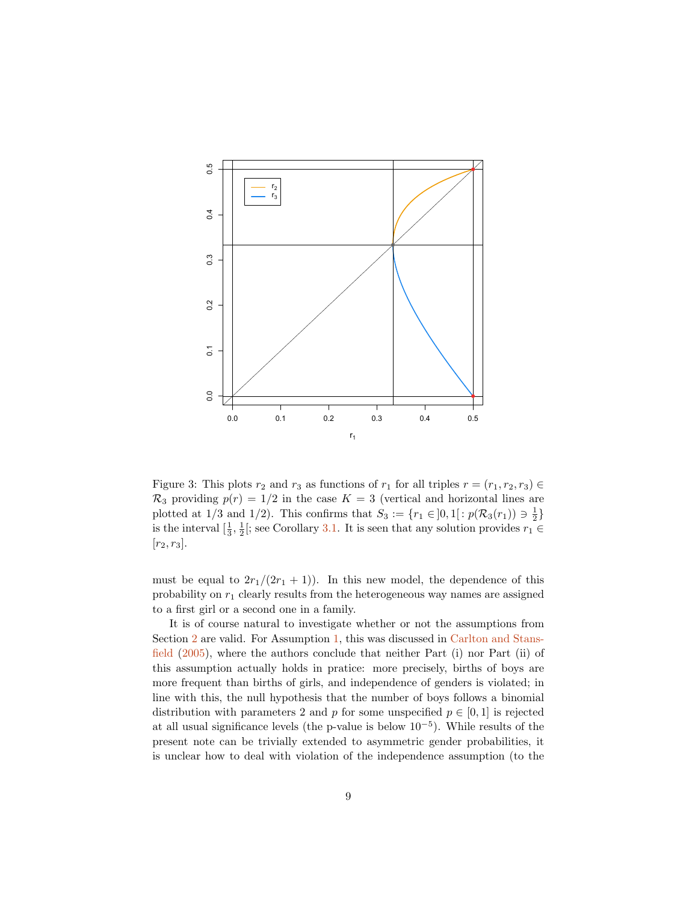

Figure 3: This plots  $r_2$  and  $r_3$  as functions of  $r_1$  for all triples  $r = (r_1, r_2, r_3) \in$  $\mathcal{R}_3$  providing  $p(r) = 1/2$  in the case  $K = 3$  (vertical and horizontal lines are plotted at 1/3 and 1/2). This confirms that  $S_3 := \{r_1 \in ]0,1[ : p(\mathcal{R}_3(r_1)) \ni \frac{1}{2}\}\$ is the interval  $[\frac{1}{3}, \frac{1}{2}]$ ; see Corollary [3.1.](#page-6-2) It is seen that any solution provides  $r_1 \in$  $[r_2, r_3]$ .

must be equal to  $2r_1/(2r_1+1)$ ). In this new model, the dependence of this probability on  $r_1$  clearly results from the heterogeneous way names are assigned to a first girl or a second one in a family.

It is of course natural to investigate whether or not the assumptions from Section [2](#page-2-0) are valid. For Assumption [1,](#page-2-2) this was discussed in [Carlton and Stans](#page-10-4)[field](#page-10-4) [\(2005\)](#page-10-4), where the authors conclude that neither Part (i) nor Part (ii) of this assumption actually holds in pratice: more precisely, births of boys are more frequent than births of girls, and independence of genders is violated; in line with this, the null hypothesis that the number of boys follows a binomial distribution with parameters 2 and p for some unspecified  $p \in [0, 1]$  is rejected at all usual significance levels (the p-value is below 10<sup>−</sup><sup>5</sup> ). While results of the present note can be trivially extended to asymmetric gender probabilities, it is unclear how to deal with violation of the independence assumption (to the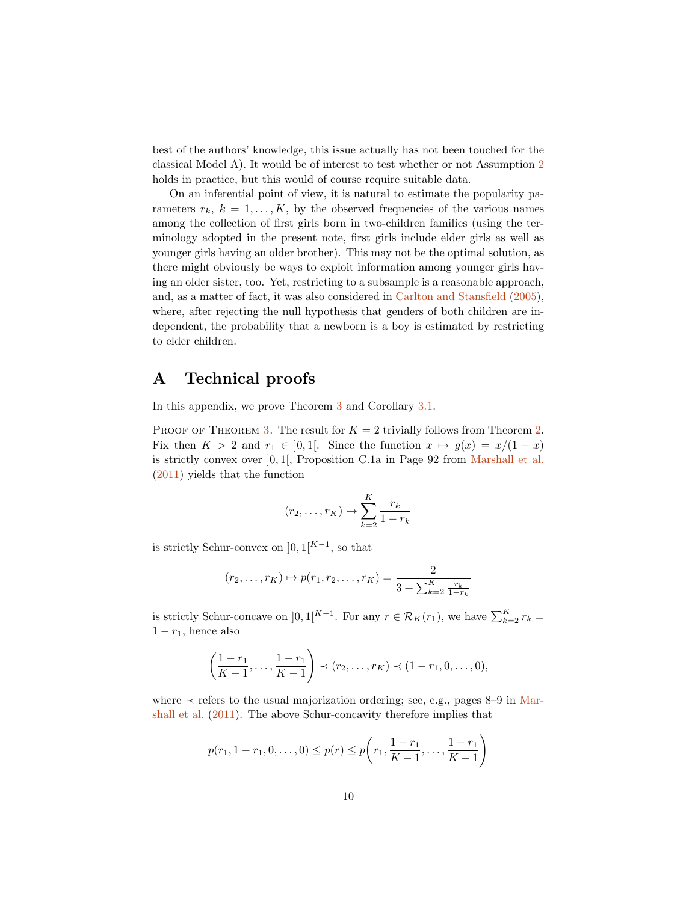best of the authors' knowledge, this issue actually has not been touched for the classical Model A). It would be of interest to test whether or not Assumption [2](#page-2-1) holds in practice, but this would of course require suitable data.

On an inferential point of view, it is natural to estimate the popularity parameters  $r_k$ ,  $k = 1, ..., K$ , by the observed frequencies of the various names among the collection of first girls born in two-children families (using the terminology adopted in the present note, first girls include elder girls as well as younger girls having an older brother). This may not be the optimal solution, as there might obviously be ways to exploit information among younger girls having an older sister, too. Yet, restricting to a subsample is a reasonable approach, and, as a matter of fact, it was also considered in [Carlton and Stansfield](#page-10-4) [\(2005\)](#page-10-4), where, after rejecting the null hypothesis that genders of both children are independent, the probability that a newborn is a boy is estimated by restricting to elder children.

# A Technical proofs

In this appendix, we prove Theorem [3](#page-6-1) and Corollary [3.1.](#page-6-2)

PROOF OF THEOREM [3.](#page-6-1) The result for  $K = 2$  trivially follows from Theorem [2.](#page-4-2) Fix then  $K > 2$  and  $r_1 \in [0,1]$ . Since the function  $x \mapsto g(x) = x/(1-x)$ is strictly convex over  $[0, 1]$ , Proposition C.1a in Page 92 from [Marshall et al.](#page-11-10) [\(2011\)](#page-11-10) yields that the function

$$
(r_2, \ldots, r_K) \mapsto \sum_{k=2}^K \frac{r_k}{1 - r_k}
$$

is strictly Schur-convex on  $]0,1[^{K-1}$ , so that

$$
(r_2,...,r_K) \mapsto p(r_1,r_2,...,r_K) = \frac{2}{3 + \sum_{k=2}^K \frac{r_k}{1 - r_k}}
$$

is strictly Schur-concave on  $]0,1[^{K-1}$ . For any  $r \in \mathcal{R}_K(r_1)$ , we have  $\sum_{k=2}^K r_k =$  $1 - r_1$ , hence also

$$
\left(\frac{1-r_1}{K-1},\ldots,\frac{1-r_1}{K-1}\right) \prec (r_2,\ldots,r_K) \prec (1-r_1,0,\ldots,0),
$$

where  $\prec$  refers to the usual majorization ordering; see, e.g., pages 8–9 in [Mar](#page-11-10)[shall et al.](#page-11-10) [\(2011\)](#page-11-10). The above Schur-concavity therefore implies that

$$
p(r_1, 1 - r_1, 0, ..., 0) \leq p(r) \leq p\left(r_1, \frac{1 - r_1}{K - 1}, ..., \frac{1 - r_1}{K - 1}\right)
$$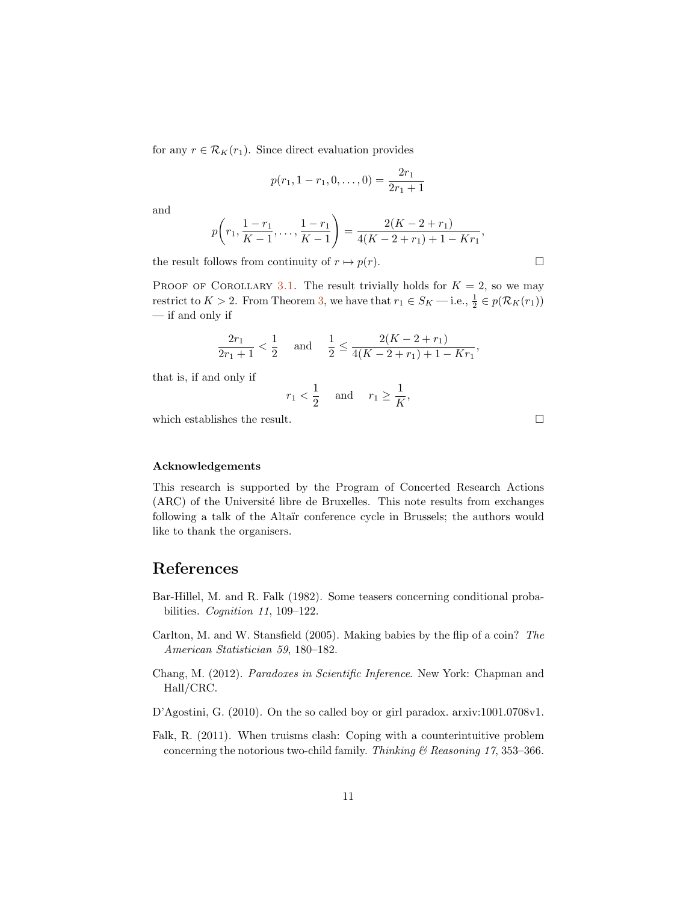for any  $r \in \mathcal{R}_K(r_1)$ . Since direct evaluation provides

$$
p(r_1, 1 - r_1, 0, \dots, 0) = \frac{2r_1}{2r_1 + 1}
$$

and

$$
p\left(r_1,\frac{1-r_1}{K-1},\ldots,\frac{1-r_1}{K-1}\right)=\frac{2(K-2+r_1)}{4(K-2+r_1)+1-Kr_1},
$$

the result follows from continuity of  $r \mapsto p(r)$ .

PROOF OF COROLLARY [3.1.](#page-6-2) The result trivially holds for  $K = 2$ , so we may restrict to  $K > 2$ . From Theorem [3,](#page-6-1) we have that  $r_1 \in S_K$  — i.e.,  $\frac{1}{2} \in p(\mathcal{R}_K(r_1))$ — if and only if

$$
\frac{2r_1}{2r_1+1} < \frac{1}{2} \quad \text{and} \quad \frac{1}{2} \le \frac{2(K-2+r_1)}{4(K-2+r_1)+1-Kr_1},
$$

that is, if and only if

$$
r_1 < \frac{1}{2} \quad \text{ and } \quad r_1 \ge \frac{1}{K},
$$

which establishes the result.  $\hfill \square$ 

#### Acknowledgements

This research is supported by the Program of Concerted Research Actions (ARC) of the Université libre de Bruxelles. This note results from exchanges following a talk of the Altaïr conference cycle in Brussels; the authors would like to thank the organisers.

### References

- <span id="page-10-0"></span>Bar-Hillel, M. and R. Falk (1982). Some teasers concerning conditional probabilities. Cognition 11, 109-122.
- <span id="page-10-4"></span>Carlton, M. and W. Stansfield (2005). Making babies by the flip of a coin? The American Statistician 59, 180–182.
- <span id="page-10-1"></span>Chang, M. (2012). Paradoxes in Scientific Inference. New York: Chapman and Hall/CRC.
- <span id="page-10-2"></span>D'Agostini, G. (2010). On the so called boy or girl paradox. arxiv:1001.0708v1.
- <span id="page-10-3"></span>Falk, R. (2011). When truisms clash: Coping with a counterintuitive problem concerning the notorious two-child family. Thinking  $\mathcal B$  Reasoning 17, 353-366.